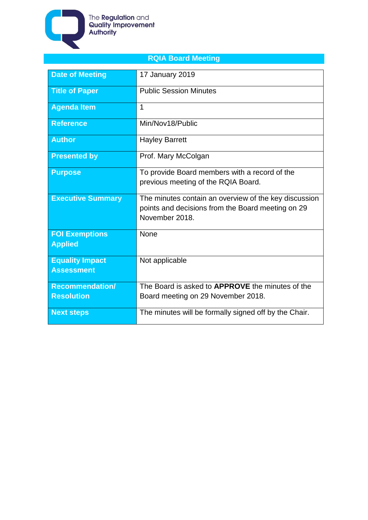

# **RQIA Board Meeting**

| <b>Date of Meeting</b>                      | 17 January 2019                                                                                                              |
|---------------------------------------------|------------------------------------------------------------------------------------------------------------------------------|
| <b>Title of Paper</b>                       | <b>Public Session Minutes</b>                                                                                                |
| <b>Agenda Item</b>                          | 1                                                                                                                            |
| <b>Reference</b>                            | Min/Nov18/Public                                                                                                             |
| <b>Author</b>                               | <b>Hayley Barrett</b>                                                                                                        |
| <b>Presented by</b>                         | Prof. Mary McColgan                                                                                                          |
| <b>Purpose</b>                              | To provide Board members with a record of the<br>previous meeting of the RQIA Board.                                         |
| <b>Executive Summary</b>                    | The minutes contain an overview of the key discussion<br>points and decisions from the Board meeting on 29<br>November 2018. |
| <b>FOI Exemptions</b><br><b>Applied</b>     | <b>None</b>                                                                                                                  |
| <b>Equality Impact</b><br><b>Assessment</b> | Not applicable                                                                                                               |
| <b>Recommendation/</b>                      | The Board is asked to <b>APPROVE</b> the minutes of the                                                                      |
| <b>Resolution</b>                           | Board meeting on 29 November 2018.                                                                                           |
| <b>Next steps</b>                           | The minutes will be formally signed off by the Chair.                                                                        |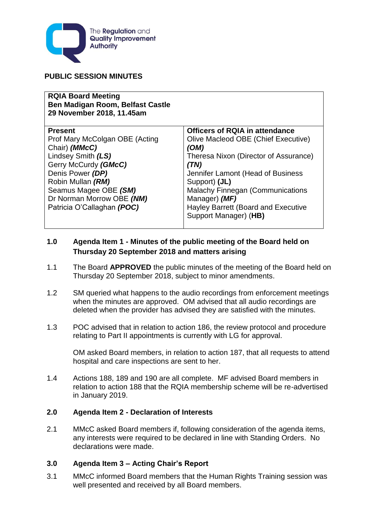

#### **PUBLIC SESSION MINUTES**

| <b>RQIA Board Meeting</b><br><b>Ben Madigan Room, Belfast Castle</b><br>29 November 2018, 11.45am |                                         |  |  |  |  |
|---------------------------------------------------------------------------------------------------|-----------------------------------------|--|--|--|--|
| <b>Present</b>                                                                                    | <b>Officers of RQIA in attendance</b>   |  |  |  |  |
| Prof Mary McColgan OBE (Acting                                                                    | Olive Macleod OBE (Chief Executive)     |  |  |  |  |
| Chair) (MMcC)                                                                                     | (OM)                                    |  |  |  |  |
| Lindsey Smith (LS)                                                                                | Theresa Nixon (Director of Assurance)   |  |  |  |  |
| Gerry McCurdy (GMcC)                                                                              | (TN)                                    |  |  |  |  |
| Denis Power (DP)                                                                                  | Jennifer Lamont (Head of Business       |  |  |  |  |
| Robin Mullan (RM)                                                                                 | Support) (JL)                           |  |  |  |  |
| Seamus Magee OBE (SM)                                                                             | <b>Malachy Finnegan (Communications</b> |  |  |  |  |
| Dr Norman Morrow OBE (NM)                                                                         | Manager) (MF)                           |  |  |  |  |
| Patricia O'Callaghan (POC)                                                                        |                                         |  |  |  |  |
|                                                                                                   | Support Manager) (HB)                   |  |  |  |  |
|                                                                                                   | Hayley Barrett (Board and Executive     |  |  |  |  |

# **1.0 Agenda Item 1 - Minutes of the public meeting of the Board held on Thursday 20 September 2018 and matters arising**

- 1.1 The Board **APPROVED** the public minutes of the meeting of the Board held on Thursday 20 September 2018, subject to minor amendments.
- 1.2 SM queried what happens to the audio recordings from enforcement meetings when the minutes are approved. OM advised that all audio recordings are deleted when the provider has advised they are satisfied with the minutes.
- 1.3 POC advised that in relation to action 186, the review protocol and procedure relating to Part II appointments is currently with LG for approval.

OM asked Board members, in relation to action 187, that all requests to attend hospital and care inspections are sent to her.

1.4 Actions 188, 189 and 190 are all complete. MF advised Board members in relation to action 188 that the RQIA membership scheme will be re-advertised in January 2019.

### **2.0 Agenda Item 2 - Declaration of Interests**

2.1 MMcC asked Board members if, following consideration of the agenda items, any interests were required to be declared in line with Standing Orders. No declarations were made.

### **3.0 Agenda Item 3 – Acting Chair's Report**

3.1 MMcC informed Board members that the Human Rights Training session was well presented and received by all Board members.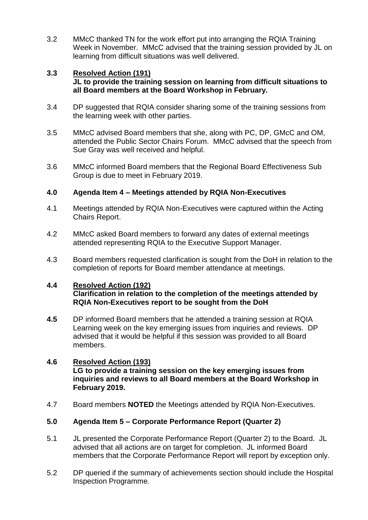3.2 MMcC thanked TN for the work effort put into arranging the RQIA Training Week in November. MMcC advised that the training session provided by JL on learning from difficult situations was well delivered.

#### **3.3 Resolved Action (191) JL to provide the training session on learning from difficult situations to all Board members at the Board Workshop in February.**

- 3.4 DP suggested that RQIA consider sharing some of the training sessions from the learning week with other parties.
- 3.5 MMcC advised Board members that she, along with PC, DP, GMcC and OM, attended the Public Sector Chairs Forum. MMcC advised that the speech from Sue Gray was well received and helpful.
- 3.6 MMcC informed Board members that the Regional Board Effectiveness Sub Group is due to meet in February 2019.

# **4.0 Agenda Item 4 – Meetings attended by RQIA Non-Executives**

- 4.1 Meetings attended by RQIA Non-Executives were captured within the Acting Chairs Report.
- 4.2 MMcC asked Board members to forward any dates of external meetings attended representing RQIA to the Executive Support Manager.
- 4.3 Board members requested clarification is sought from the DoH in relation to the completion of reports for Board member attendance at meetings.

## **4.4 Resolved Action (192) Clarification in relation to the completion of the meetings attended by RQIA Non-Executives report to be sought from the DoH**

**4.5** DP informed Board members that he attended a training session at RQIA Learning week on the key emerging issues from inquiries and reviews. DP advised that it would be helpful if this session was provided to all Board members.

## **4.6 Resolved Action (193) LG to provide a training session on the key emerging issues from inquiries and reviews to all Board members at the Board Workshop in February 2019.**

4.7 Board members **NOTED** the Meetings attended by RQIA Non-Executives.

# **5.0 Agenda Item 5 – Corporate Performance Report (Quarter 2)**

- 5.1 JL presented the Corporate Performance Report (Quarter 2) to the Board. JL advised that all actions are on target for completion. JL informed Board members that the Corporate Performance Report will report by exception only.
- 5.2 DP queried if the summary of achievements section should include the Hospital Inspection Programme.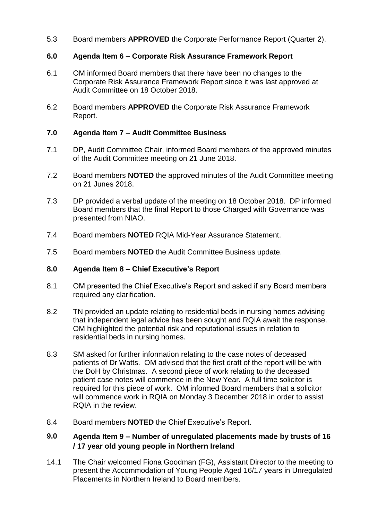5.3 Board members **APPROVED** the Corporate Performance Report (Quarter 2).

## **6.0 Agenda Item 6 – Corporate Risk Assurance Framework Report**

- 6.1 OM informed Board members that there have been no changes to the Corporate Risk Assurance Framework Report since it was last approved at Audit Committee on 18 October 2018.
- 6.2 Board members **APPROVED** the Corporate Risk Assurance Framework Report.

### **7.0 Agenda Item 7 – Audit Committee Business**

- 7.1 DP, Audit Committee Chair, informed Board members of the approved minutes of the Audit Committee meeting on 21 June 2018.
- 7.2 Board members **NOTED** the approved minutes of the Audit Committee meeting on 21 Junes 2018.
- 7.3 DP provided a verbal update of the meeting on 18 October 2018. DP informed Board members that the final Report to those Charged with Governance was presented from NIAO.
- 7.4 Board members **NOTED** RQIA Mid-Year Assurance Statement.
- 7.5 Board members **NOTED** the Audit Committee Business update.

### **8.0 Agenda Item 8 – Chief Executive's Report**

- 8.1 OM presented the Chief Executive's Report and asked if any Board members required any clarification.
- 8.2 TN provided an update relating to residential beds in nursing homes advising that independent legal advice has been sought and RQIA await the response. OM highlighted the potential risk and reputational issues in relation to residential beds in nursing homes.
- 8.3 SM asked for further information relating to the case notes of deceased patients of Dr Watts. OM advised that the first draft of the report will be with the DoH by Christmas. A second piece of work relating to the deceased patient case notes will commence in the New Year. A full time solicitor is required for this piece of work. OM informed Board members that a solicitor will commence work in RQIA on Monday 3 December 2018 in order to assist RQIA in the review.
- 8.4 Board members **NOTED** the Chief Executive's Report.

# **9.0 Agenda Item 9 – Number of unregulated placements made by trusts of 16 / 17 year old young people in Northern Ireland**

14.1 The Chair welcomed Fiona Goodman (FG), Assistant Director to the meeting to present the Accommodation of Young People Aged 16/17 years in Unregulated Placements in Northern Ireland to Board members.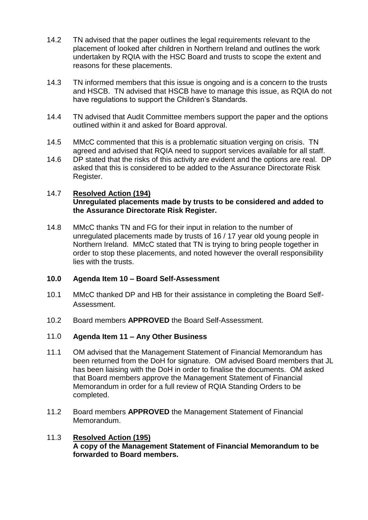- 14.2 TN advised that the paper outlines the legal requirements relevant to the placement of looked after children in Northern Ireland and outlines the work undertaken by RQIA with the HSC Board and trusts to scope the extent and reasons for these placements.
- 14.3 TN informed members that this issue is ongoing and is a concern to the trusts and HSCB. TN advised that HSCB have to manage this issue, as RQIA do not have regulations to support the Children's Standards.
- 14.4 TN advised that Audit Committee members support the paper and the options outlined within it and asked for Board approval.
- 14.5 MMcC commented that this is a problematic situation verging on crisis. TN agreed and advised that RQIA need to support services available for all staff.
- 14.6 DP stated that the risks of this activity are evident and the options are real. DP asked that this is considered to be added to the Assurance Directorate Risk Register.

# 14.7 **Resolved Action (194) Unregulated placements made by trusts to be considered and added to the Assurance Directorate Risk Register.**

14.8 MMcC thanks TN and FG for their input in relation to the number of unregulated placements made by trusts of 16 / 17 year old young people in Northern Ireland. MMcC stated that TN is trying to bring people together in order to stop these placements, and noted however the overall responsibility lies with the trusts.

# **10.0 Agenda Item 10 – Board Self-Assessment**

- 10.1 MMcC thanked DP and HB for their assistance in completing the Board Self-Assessment.
- 10.2 Board members **APPROVED** the Board Self-Assessment.

# 11.0 **Agenda Item 11 – Any Other Business**

- 11.1 OM advised that the Management Statement of Financial Memorandum has been returned from the DoH for signature. OM advised Board members that JL has been liaising with the DoH in order to finalise the documents. OM asked that Board members approve the Management Statement of Financial Memorandum in order for a full review of RQIA Standing Orders to be completed.
- 11.2 Board members **APPROVED** the Management Statement of Financial Memorandum.
- 11.3 **Resolved Action (195) A copy of the Management Statement of Financial Memorandum to be forwarded to Board members.**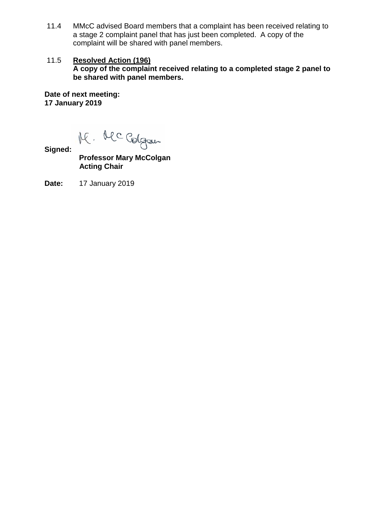- 11.4 MMcC advised Board members that a complaint has been received relating to a stage 2 complaint panel that has just been completed. A copy of the complaint will be shared with panel members.
- 11.5 **Resolved Action (196) A copy of the complaint received relating to a completed stage 2 panel to be shared with panel members.**

**Date of next meeting: 17 January 2019**

He. Mc Colgan

**Signed:**

 **Professor Mary McColgan Acting Chair**

**Date:** 17 January 2019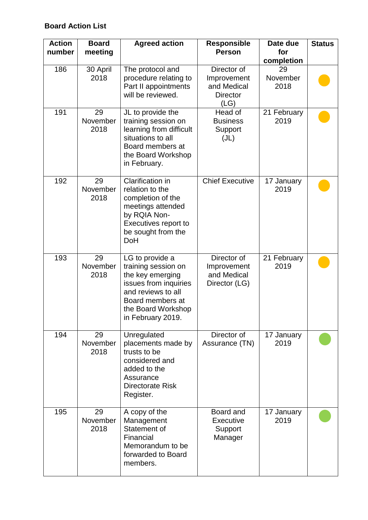# **Board Action List**

| <b>Action</b><br>number | <b>Board</b><br>meeting | <b>Agreed action</b>                                                                                                                                                     | <b>Responsible</b><br><b>Person</b>                                  | Date due<br>for        | <b>Status</b> |
|-------------------------|-------------------------|--------------------------------------------------------------------------------------------------------------------------------------------------------------------------|----------------------------------------------------------------------|------------------------|---------------|
|                         |                         |                                                                                                                                                                          |                                                                      | completion             |               |
| 186                     | 30 April<br>2018        | The protocol and<br>procedure relating to<br>Part II appointments<br>will be reviewed.                                                                                   | Director of<br>Improvement<br>and Medical<br><b>Director</b><br>(LG) | 29<br>November<br>2018 |               |
| 191                     | 29<br>November<br>2018  | JL to provide the<br>training session on<br>learning from difficult<br>situations to all<br>Board members at<br>the Board Workshop<br>in February.                       | Head of<br><b>Business</b><br>Support<br>(JL)                        | 21 February<br>2019    |               |
| 192                     | 29<br>November<br>2018  | Clarification in<br>relation to the<br>completion of the<br>meetings attended<br>by RQIA Non-<br>Executives report to<br>be sought from the<br><b>DoH</b>                | <b>Chief Executive</b>                                               | 17 January<br>2019     |               |
| 193                     | 29<br>November<br>2018  | LG to provide a<br>training session on<br>the key emerging<br>issues from inquiries<br>and reviews to all<br>Board members at<br>the Board Workshop<br>in February 2019. | Director of<br>Improvement<br>and Medical<br>Director (LG)           | 21 February<br>2019    |               |
| 194                     | 29<br>November<br>2018  | Unregulated<br>placements made by<br>trusts to be<br>considered and<br>added to the<br>Assurance<br><b>Directorate Risk</b><br>Register.                                 | Director of<br>Assurance (TN)                                        | 17 January<br>2019     |               |
| 195                     | 29<br>November<br>2018  | A copy of the<br>Management<br>Statement of<br>Financial<br>Memorandum to be<br>forwarded to Board<br>members.                                                           | Board and<br><b>Executive</b><br>Support<br>Manager                  | 17 January<br>2019     |               |